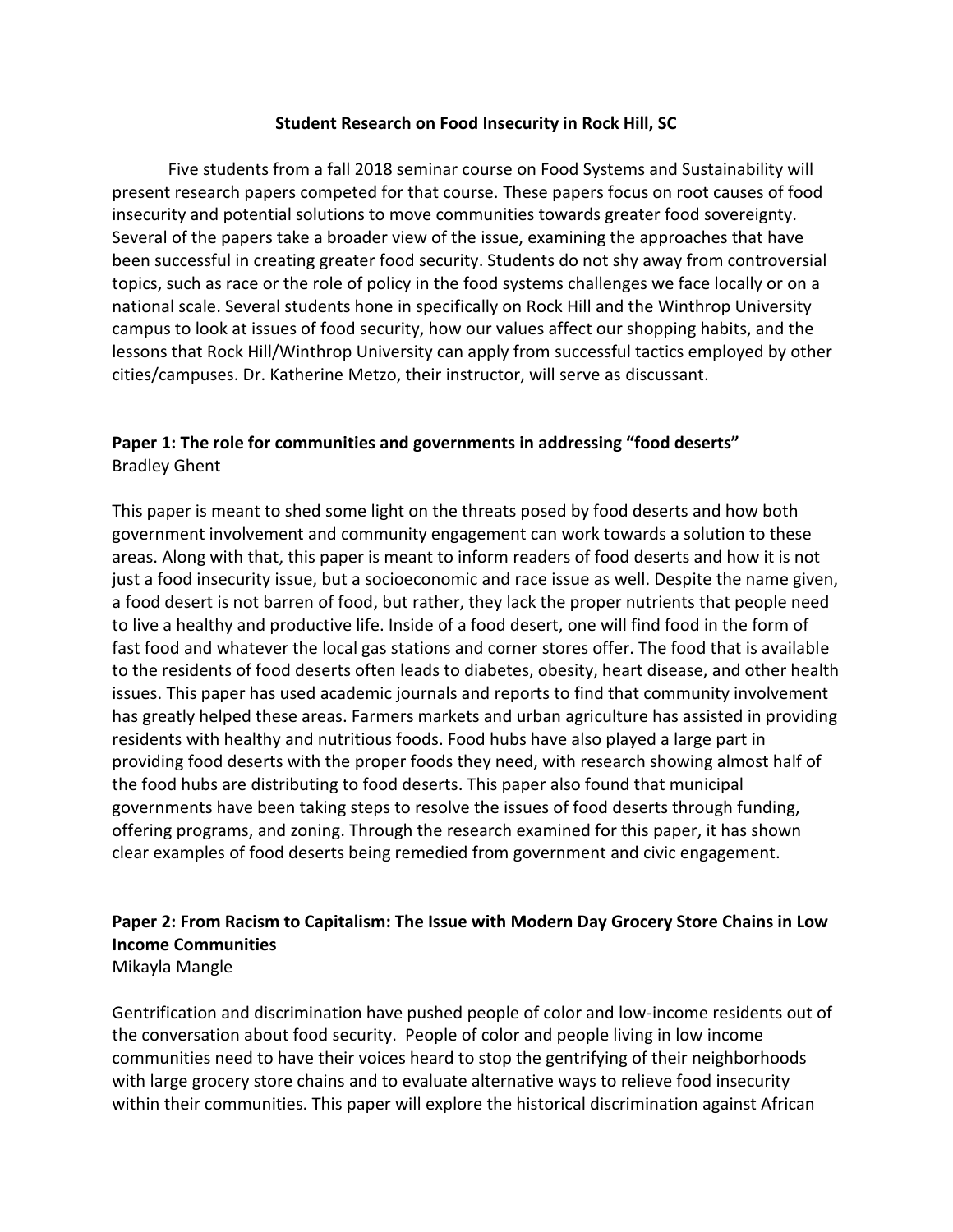#### **Student Research on Food Insecurity in Rock Hill, SC**

Five students from a fall 2018 seminar course on Food Systems and Sustainability will present research papers competed for that course. These papers focus on root causes of food insecurity and potential solutions to move communities towards greater food sovereignty. Several of the papers take a broader view of the issue, examining the approaches that have been successful in creating greater food security. Students do not shy away from controversial topics, such as race or the role of policy in the food systems challenges we face locally or on a national scale. Several students hone in specifically on Rock Hill and the Winthrop University campus to look at issues of food security, how our values affect our shopping habits, and the lessons that Rock Hill/Winthrop University can apply from successful tactics employed by other cities/campuses. Dr. Katherine Metzo, their instructor, will serve as discussant.

# **Paper 1: The role for communities and governments in addressing "food deserts"** Bradley Ghent

This paper is meant to shed some light on the threats posed by food deserts and how both government involvement and community engagement can work towards a solution to these areas. Along with that, this paper is meant to inform readers of food deserts and how it is not just a food insecurity issue, but a socioeconomic and race issue as well. Despite the name given, a food desert is not barren of food, but rather, they lack the proper nutrients that people need to live a healthy and productive life. Inside of a food desert, one will find food in the form of fast food and whatever the local gas stations and corner stores offer. The food that is available to the residents of food deserts often leads to diabetes, obesity, heart disease, and other health issues. This paper has used academic journals and reports to find that community involvement has greatly helped these areas. Farmers markets and urban agriculture has assisted in providing residents with healthy and nutritious foods. Food hubs have also played a large part in providing food deserts with the proper foods they need, with research showing almost half of the food hubs are distributing to food deserts. This paper also found that municipal governments have been taking steps to resolve the issues of food deserts through funding, offering programs, and zoning. Through the research examined for this paper, it has shown clear examples of food deserts being remedied from government and civic engagement.

### **Paper 2: From Racism to Capitalism: The Issue with Modern Day Grocery Store Chains in Low Income Communities** Mikayla Mangle

Gentrification and discrimination have pushed people of color and low-income residents out of the conversation about food security. People of color and people living in low income communities need to have their voices heard to stop the gentrifying of their neighborhoods with large grocery store chains and to evaluate alternative ways to relieve food insecurity within their communities. This paper will explore the historical discrimination against African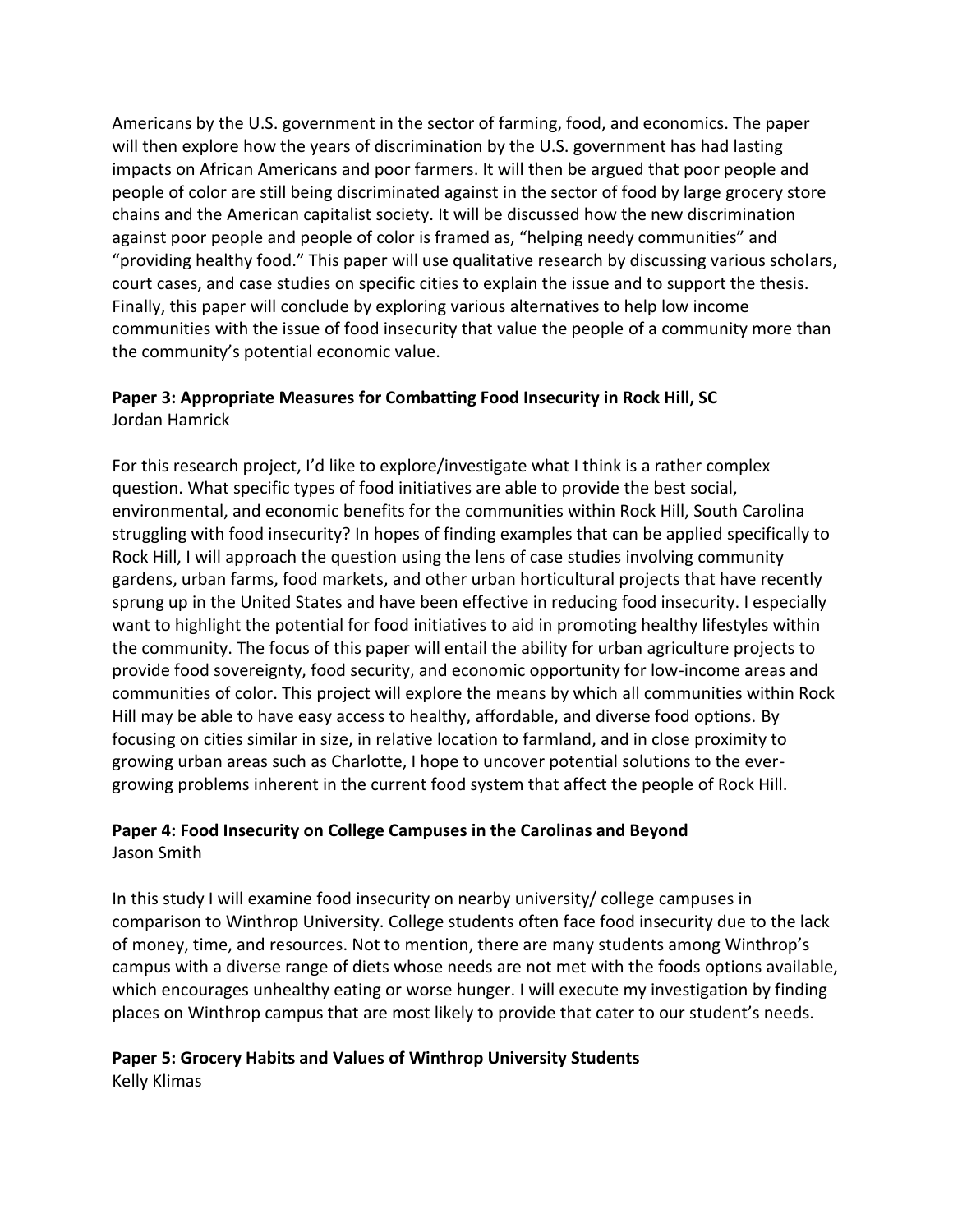Americans by the U.S. government in the sector of farming, food, and economics. The paper will then explore how the years of discrimination by the U.S. government has had lasting impacts on African Americans and poor farmers. It will then be argued that poor people and people of color are still being discriminated against in the sector of food by large grocery store chains and the American capitalist society. It will be discussed how the new discrimination against poor people and people of color is framed as, "helping needy communities" and "providing healthy food." This paper will use qualitative research by discussing various scholars, court cases, and case studies on specific cities to explain the issue and to support the thesis. Finally, this paper will conclude by exploring various alternatives to help low income communities with the issue of food insecurity that value the people of a community more than the community's potential economic value.

# **Paper 3: Appropriate Measures for Combatting Food Insecurity in Rock Hill, SC** Jordan Hamrick

For this research project, I'd like to explore/investigate what I think is a rather complex question. What specific types of food initiatives are able to provide the best social, environmental, and economic benefits for the communities within Rock Hill, South Carolina struggling with food insecurity? In hopes of finding examples that can be applied specifically to Rock Hill, I will approach the question using the lens of case studies involving community gardens, urban farms, food markets, and other urban horticultural projects that have recently sprung up in the United States and have been effective in reducing food insecurity. I especially want to highlight the potential for food initiatives to aid in promoting healthy lifestyles within the community. The focus of this paper will entail the ability for urban agriculture projects to provide food sovereignty, food security, and economic opportunity for low-income areas and communities of color. This project will explore the means by which all communities within Rock Hill may be able to have easy access to healthy, affordable, and diverse food options. By focusing on cities similar in size, in relative location to farmland, and in close proximity to growing urban areas such as Charlotte, I hope to uncover potential solutions to the evergrowing problems inherent in the current food system that affect the people of Rock Hill.

# **Paper 4: Food Insecurity on College Campuses in the Carolinas and Beyond** Jason Smith

In this study I will examine food insecurity on nearby university/ college campuses in comparison to Winthrop University. College students often face food insecurity due to the lack of money, time, and resources. Not to mention, there are many students among Winthrop's campus with a diverse range of diets whose needs are not met with the foods options available, which encourages unhealthy eating or worse hunger. I will execute my investigation by finding places on Winthrop campus that are most likely to provide that cater to our student's needs.

# **Paper 5: Grocery Habits and Values of Winthrop University Students**

Kelly Klimas